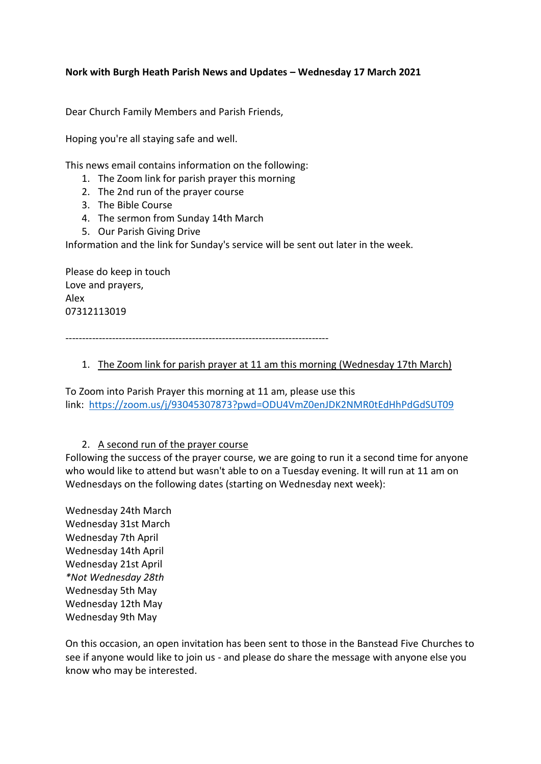## **Nork with Burgh Heath Parish News and Updates – Wednesday 17 March 2021**

Dear Church Family Members and Parish Friends,

Hoping you're all staying safe and well.

This news email contains information on the following:

- 1. The Zoom link for parish prayer this morning
- 2. The 2nd run of the prayer course
- 3. The Bible Course
- 4. The sermon from Sunday 14th March
- 5. Our Parish Giving Drive

Information and the link for Sunday's service will be sent out later in the week.

Please do keep in touch Love and prayers, Alex 07312113019

-------------------------------------------------------------------------------

## 1. The Zoom link for parish prayer at 11 am this morning (Wednesday 17th March)

To Zoom into Parish Prayer this morning at 11 am, please use this link: <https://zoom.us/j/93045307873?pwd=ODU4VmZ0enJDK2NMR0tEdHhPdGdSUT09>

#### 2. A second run of the prayer course

Following the success of the prayer course, we are going to run it a second time for anyone who would like to attend but wasn't able to on a Tuesday evening. It will run at 11 am on Wednesdays on the following dates (starting on Wednesday next week):

Wednesday 24th March Wednesday 31st March Wednesday 7th April Wednesday 14th April Wednesday 21st April *\*Not Wednesday 28th* Wednesday 5th May Wednesday 12th May Wednesday 9th May

On this occasion, an open invitation has been sent to those in the Banstead Five Churches to see if anyone would like to join us - and please do share the message with anyone else you know who may be interested.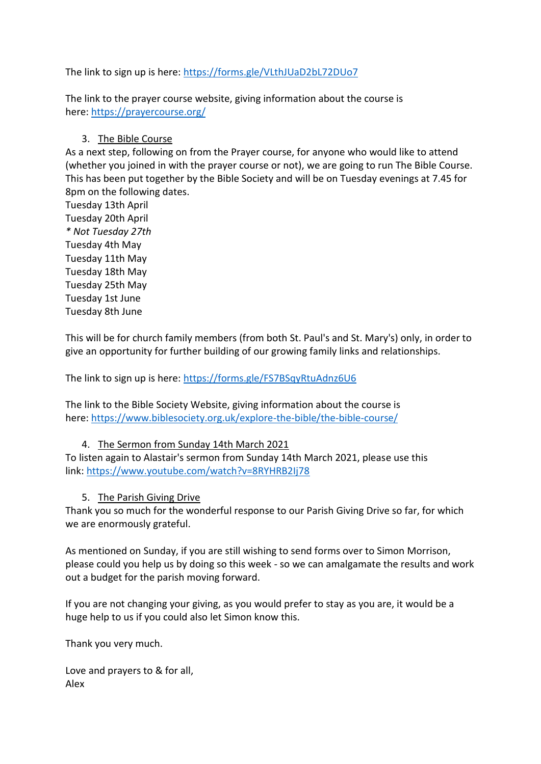The link to sign up is here: <https://forms.gle/VLthJUaD2bL72DUo7>

The link to the prayer course website, giving information about the course is here: <https://prayercourse.org/>

# 3. The Bible Course

As a next step, following on from the Prayer course, for anyone who would like to attend (whether you joined in with the prayer course or not), we are going to run The Bible Course. This has been put together by the Bible Society and will be on Tuesday evenings at 7.45 for 8pm on the following dates.

Tuesday 13th April Tuesday 20th April *\* Not Tuesday 27th* Tuesday 4th May Tuesday 11th May Tuesday 18th May Tuesday 25th May Tuesday 1st June Tuesday 8th June

This will be for church family members (from both St. Paul's and St. Mary's) only, in order to give an opportunity for further building of our growing family links and relationships.

The link to sign up is here: <https://forms.gle/FS7BSqyRtuAdnz6U6>

The link to the Bible Society Website, giving information about the course is here: <https://www.biblesociety.org.uk/explore-the-bible/the-bible-course/>

# 4. The Sermon from Sunday 14th March 2021

To listen again to Alastair's sermon from Sunday 14th March 2021, please use this link: <https://www.youtube.com/watch?v=8RYHRB2Ij78>

# 5. The Parish Giving Drive

Thank you so much for the wonderful response to our Parish Giving Drive so far, for which we are enormously grateful.

As mentioned on Sunday, if you are still wishing to send forms over to Simon Morrison, please could you help us by doing so this week - so we can amalgamate the results and work out a budget for the parish moving forward.

If you are not changing your giving, as you would prefer to stay as you are, it would be a huge help to us if you could also let Simon know this.

Thank you very much.

Love and prayers to & for all, Alex